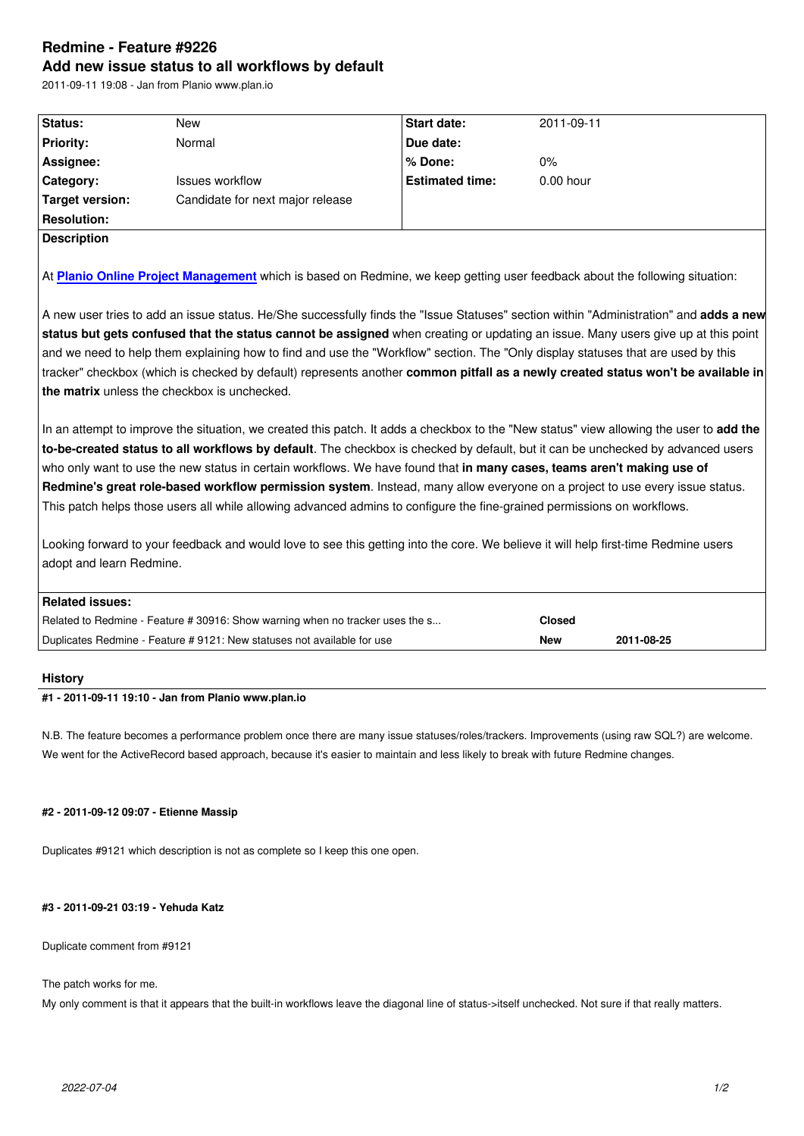#### **Add new issue status to all workflows by default**

2011-09-11 19:08 - Jan from Planio www.plan.io

| Status:            | New                              | <b>Start date:</b>     | 2011-09-11  |  |  |
|--------------------|----------------------------------|------------------------|-------------|--|--|
| <b>Priority:</b>   | Normal                           | Due date:              |             |  |  |
| Assignee:          |                                  | l% Done:               | $0\%$       |  |  |
| <b>Category:</b>   | <b>Issues workflow</b>           | <b>Estimated time:</b> | $0.00$ hour |  |  |
| Target version:    | Candidate for next major release |                        |             |  |  |
| <b>Resolution:</b> |                                  |                        |             |  |  |
| <b>Description</b> |                                  |                        |             |  |  |
|                    |                                  |                        |             |  |  |

At **Planio Online Project Management** which is based on Redmine, we keep getting user feedback about the following situation:

A new user tries to add an issue status. He/She successfully finds the "Issue Statuses" section within "Administration" and **adds a new st[atus but gets confused that the stat](http://plan.io/)us cannot be assigned** when creating or updating an issue. Many users give up at this point and we need to help them explaining how to find and use the "Workflow" section. The "Only display statuses that are used by this tracker" checkbox (which is checked by default) represents another **common pitfall as a newly created status won't be available in the matrix** unless the checkbox is unchecked.

In an attempt to improve the situation, we created this patch. It adds a checkbox to the "New status" view allowing the user to **add the to-be-created status to all workflows by default**. The checkbox is checked by default, but it can be unchecked by advanced users who only want to use the new status in certain workflows. We have found that **in many cases, teams aren't making use of Redmine's great role-based workflow permission system**. Instead, many allow everyone on a project to use every issue status. This patch helps those users all while allowing advanced admins to configure the fine-grained permissions on workflows.

Looking forward to your feedback and would love to see this getting into the core. We believe it will help first-time Redmine users adopt and learn Redmine.

| Related issues:                                                               |               |            |  |  |
|-------------------------------------------------------------------------------|---------------|------------|--|--|
| Related to Redmine - Feature # 30916: Show warning when no tracker uses the s | <b>Closed</b> |            |  |  |
| Duplicates Redmine - Feature # 9121: New statuses not available for use       | New           | 2011-08-25 |  |  |

#### **History**

## **#1 - 2011-09-11 19:10 - Jan from Planio www.plan.io**

N.B. The feature becomes a performance problem once there are many issue statuses/roles/trackers. Improvements (using raw SQL?) are welcome. We went for the ActiveRecord based approach, because it's easier to maintain and less likely to break with future Redmine changes.

#### **#2 - 2011-09-12 09:07 - Etienne Massip**

Duplicates #9121 which description is not as complete so I keep this one open.

#### **#3 - 2011-09-21 03:19 - Yehuda Katz**

Duplicate comment from #9121

The patch works for me.

My only comment is that it appears that the built-in workflows leave the diagonal line of status->itself unchecked. Not sure if that really matters.